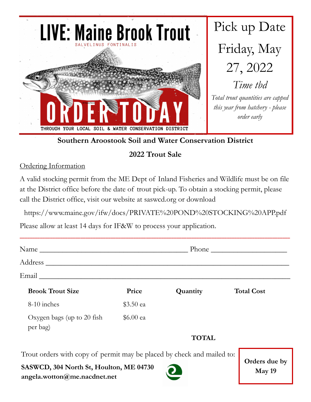

**Southern Aroostook Soil and Water Conservation District**

## **2022 Trout Sale**

Ordering Information

A valid stocking permit from the ME Dept of Inland Fisheries and Wildlife must be on file at the District office before the date of trout pick-up. To obtain a stocking permit, please call the District office, visit our website at saswcd.org or download

https://www.maine.gov/ifw/docs/PRIVATE%20POND%20STOCKING%20APP.pdf

Please allow at least 14 days for IF&W to process your application.

| <b>Brook Trout Size</b>                | Price     | Quantity     | <b>Total Cost</b> |
|----------------------------------------|-----------|--------------|-------------------|
| 8-10 inches                            | \$3.50 ea |              |                   |
| Oxygen bags (up to 20 fish<br>per bag) | \$6.00 ea |              |                   |
|                                        |           | <b>TOTAL</b> |                   |

Trout orders with copy of permit may be placed by check and mailed to:

**SASWCD, 304 North St, Houlton, ME 04730 angela.wotton@me.nacdnet.net**